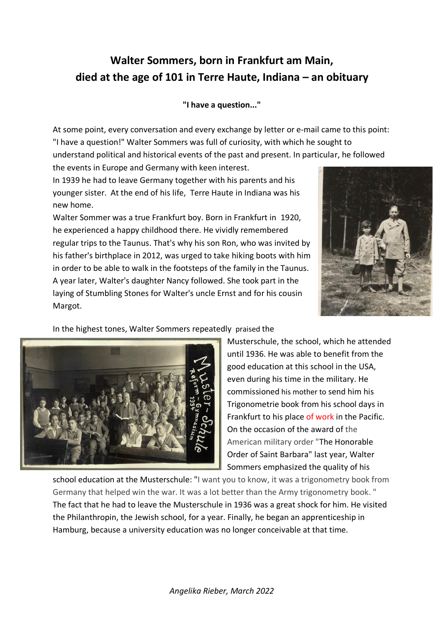## **Walter Sommers, born in Frankfurt am Main, died at the age of 101 in Terre Haute, Indiana – an obituary**

## **"I have a question..."**

At some point, every conversation and every exchange by letter or e-mail came to this point: "I have a question!" Walter Sommers was full of curiosity, with which he sought to understand political and historical events of the past and present. In particular, he followed the events in Europe and Germany with keen interest.

In 1939 he had to leave Germany together with his parents and his younger sister. At the end of his life, Terre Haute in Indiana was his new home.

Walter Sommer was a true Frankfurt boy. Born in Frankfurt in 1920, he experienced a happy childhood there. He vividly remembered regular trips to the Taunus. That's why his son Ron, who was invited by his father's birthplace in 2012, was urged to take hiking boots with him in order to be able to walk in the footsteps of the family in the Taunus. A year later, Walter's daughter Nancy followed. She took part in the laying of Stumbling Stones for Walter's uncle Ernst and for his cousin Margot.



## In the highest tones, Walter Sommers repeatedly praised the



Musterschule, the school, which he attended until 1936. He was able to benefit from the good education at this school in the USA, even during his time in the military. He commissioned his mother to send him his Trigonometrie book from his school days in Frankfurt to his place of work in the Pacific. On the occasion of the award of the American military order "The Honorable Order of Saint Barbara" last year, Walter Sommers emphasized the quality of his

school education at the Musterschule: "I want you to know, it was a trigonometry book from Germany that helped win the war. It was a lot better than the Army trigonometry book. " The fact that he had to leave the Musterschule in 1936 was a great shock for him. He visited the Philanthropin, the Jewish school, for a year. Finally, he began an apprenticeship in Hamburg, because a university education was no longer conceivable at that time.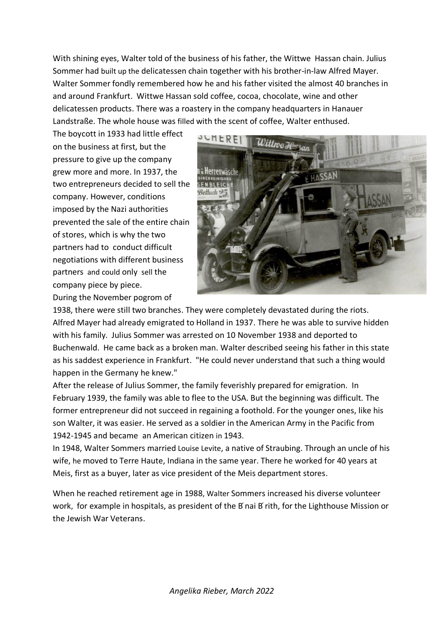With shining eyes, Walter told of the business of his father, the Wittwe Hassan chain. Julius Sommer had built up the delicatessen chain together with his brother-in-law Alfred Mayer. Walter Sommer fondly remembered how he and his father visited the almost 40 branches in and around Frankfurt. Wittwe Hassan sold coffee, cocoa, chocolate, wine and other delicatessen products. There was a roastery in the company headquarters in Hanauer Landstraße. The whole house was filled with the scent of coffee, Walter enthused.

The boycott in 1933 had little effect on the business at first, but the pressure to give up the company grew more and more. In 1937, the two entrepreneurs decided to sell the company. However, conditions imposed by the Nazi authorities prevented the sale of the entire chain of stores, which is why the two partners had to conduct difficult negotiations with different business partners and could only sell the company piece by piece. During the November pogrom of



1938, there were still two branches. They were completely devastated during the riots. Alfred Mayer had already emigrated to Holland in 1937. There he was able to survive hidden with his family. Julius Sommer was arrested on 10 November 1938 and deported to Buchenwald. He came back as a broken man. Walter described seeing his father in this state as his saddest experience in Frankfurt. "He could never understand that such a thing would happen in the Germany he knew."

After the release of Julius Sommer, the family feverishly prepared for emigration. In February 1939, the family was able to flee to the USA. But the beginning was difficult. The former entrepreneur did not succeed in regaining a foothold. For the younger ones, like his son Walter, it was easier. He served as a soldier in the American Army in the Pacific from 1942-1945 and became an American citizen in 1943.

In 1948, Walter Sommers married Louise Levite, a native of Straubing. Through an uncle of his wife, he moved to Terre Haute, Indiana in the same year. There he worked for 40 years at Meis, first as a buyer, later as vice president of the Meis department stores.

When he reached retirement age in 1988, Walter Sommers increased his diverse volunteer work, for example in hospitals, as president of the B nai B rith, for the Lighthouse Mission or the Jewish War Veterans.